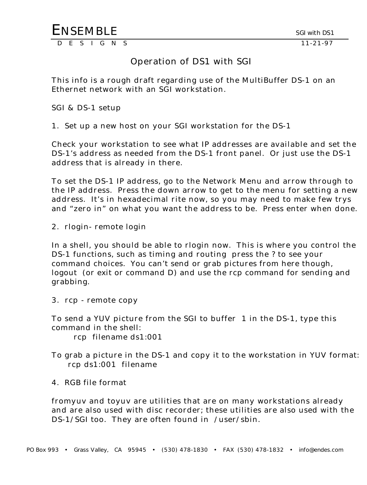## Operation of DS1 with SGI

This info is a rough draft regarding use of the MultiBuffer DS-1 on an Ethernet network with an SGI workstation.

SGI & DS-1 setup

1. Set up a new host on your SGI workstation for the DS-1

Check your workstation to see what IP addresses are available and set the DS-1's address as needed from the DS-1 front panel. Or just use the DS-1 address that is already in there.

To set the DS-1 IP address, go to the Network Menu and arrow through to the IP address. Press the down arrow to get to the menu for setting a new address. It's in hexadecimal rite now, so you may need to make few trys and "zero in" on what you want the address to be. Press enter when done.

2. rlogin- remote login

In a shell, you should be able to rlogin now. This is where you control the DS-1 functions, such as timing and routing press the ? to see your command choices. You can't send or grab pictures from here though, logout (or exit or command D) and use the rcp command for sending and grabbing.

3. rcp - remote copy

To send a YUV picture from the SGI to buffer 1 in the DS-1, type this command in the shell:

rcp filename ds1:001

To grab a picture in the DS-1 and copy it to the workstation in YUV format: rcp ds1:001 filename

4. RGB file format

fromyuv and toyuv are utilities that are on many workstations already and are also used with disc recorder; these utilities are also used with the DS-1/SGI too. They are often found in /user/sbin.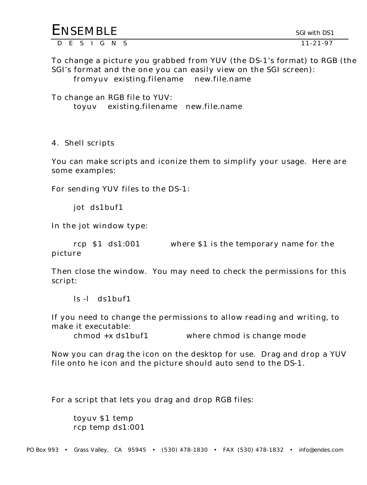| <b>ENSEMBLE</b> |  |  |  | SGI with DS1 |
|-----------------|--|--|--|--------------|
| DFSIGNS         |  |  |  | 11-21-97     |

To change a picture you grabbed from YUV (the DS-1's format) to RGB (the SGI's format and the one you can easily view on the SGI screen): fromyuv existing.filename new.file.name

To change an RGB file to YUV: toyuv existing.filename new.file.name

4. Shell scripts

You can make scripts and iconize them to simplify your usage. Here are some examples:

For sending YUV files to the DS-1:

jot ds1buf1

In the jot window type:

rcp \$1 ds1:001 where \$1 is the temporary name for the picture

Then close the window. You may need to check the permissions for this script:

ls -l ds1buf1

If you need to change the permissions to allow reading and writing, to make it executable:

chmod +x ds1buf1 where chmod is change mode

Now you can drag the icon on the desktop for use. Drag and drop a YUV file onto he icon and the picture should auto send to the DS-1.

For a script that lets you drag and drop RGB files:

toyuv \$1 temp rcp temp ds1:001